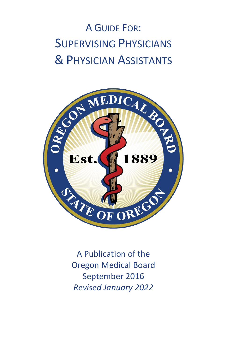# A GUIDE FOR: SUPERVISING PHYSICIANS & PHYSICIAN ASSISTANTS



A Publication of the Oregon Medical Board September 2016 *Revised January 2022*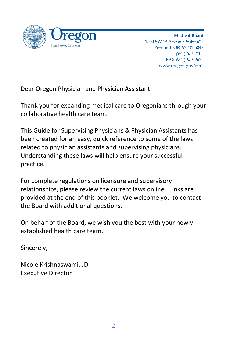

**Medical Board** 1500 SW 1st Avenue. Suite 620 Portland, OR 97201-5847  $(971) 673 - 2700$ FAX (971) 673-2670 www.oregon.gov/omb

Dear Oregon Physician and Physician Assistant:

Thank you for expanding medical care to Oregonians through your collaborative health care team.

This Guide for Supervising Physicians & Physician Assistants has been created for an easy, quick reference to some of the laws related to physician assistants and supervising physicians. Understanding these laws will help ensure your successful practice.

For complete regulations on licensure and supervisory relationships, please review the current laws online. Links are provided at the end of this booklet. We welcome you to contact the Board with additional questions.

On behalf of the Board, we wish you the best with your newly established health care team.

Sincerely,

Nicole Krishnaswami, JD Executive Director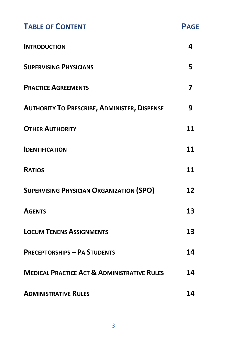| <b>TABLE OF CONTENT</b>                                | <b>PAGE</b> |
|--------------------------------------------------------|-------------|
| <b>INTRODUCTION</b>                                    | 4           |
| <b>SUPERVISING PHYSICIANS</b>                          | 5           |
| <b>PRACTICE AGREEMENTS</b>                             | 7           |
| <b>AUTHORITY TO PRESCRIBE, ADMINISTER, DISPENSE</b>    | 9           |
| <b>OTHER AUTHORITY</b>                                 | 11          |
| <b>IDENTIFICATION</b>                                  | 11          |
| <b>RATIOS</b>                                          | 11          |
| <b>SUPERVISING PHYSICIAN ORGANIZATION (SPO)</b>        | 12          |
| <b>AGENTS</b>                                          | 13          |
| <b>LOCUM TENENS ASSIGNMENTS</b>                        | 13          |
| <b>PRECEPTORSHIPS - PA STUDENTS</b>                    | 14          |
| <b>MEDICAL PRACTICE ACT &amp; ADMINISTRATIVE RULES</b> | 14          |
| <b>ADMINISTRATIVE RULES</b>                            | 14          |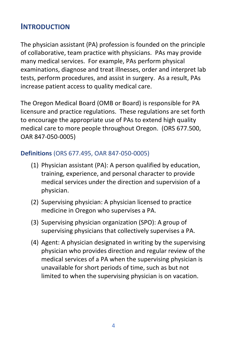## **INTRODUCTION**

The physician assistant (PA) profession is founded on the principle of collaborative, team practice with physicians. PAs may provide many medical services. For example, PAs perform physical examinations, diagnose and treat illnesses, order and interpret lab tests, perform procedures, and assist in surgery. As a result, PAs increase patient access to quality medical care.

The Oregon Medical Board (OMB or Board) is responsible for PA licensure and practice regulations. These regulations are set forth to encourage the appropriate use of PAs to extend high quality medical care to more people throughout Oregon. (ORS 677.500, OAR 847-050-0005)

#### **Definitions** (ORS 677.495, OAR 847-050-0005)

- (1) Physician assistant (PA): A person qualified by education, training, experience, and personal character to provide medical services under the direction and supervision of a physician.
- (2) Supervising physician: A physician licensed to practice medicine in Oregon who supervises a PA.
- (3) Supervising physician organization (SPO): A group of supervising physicians that collectively supervises a PA.
- (4) Agent: A physician designated in writing by the supervising physician who provides direction and regular review of the medical services of a PA when the supervising physician is unavailable for short periods of time, such as but not limited to when the supervising physician is on vacation.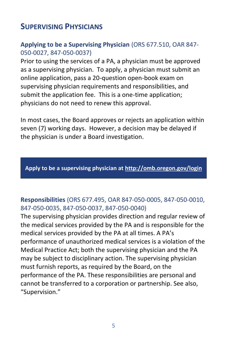## **SUPERVISING PHYSICIANS**

#### **Applying to be a Supervising Physician** (ORS 677.510, OAR 847- 050-0027, 847-050-0037)

Prior to using the services of a PA, a physician must be approved as a supervising physician. To apply, a physician must submit an online application, pass a 20-question open-book exam on supervising physician requirements and responsibilities, and submit the application fee. This is a one-time application; physicians do not need to renew this approval.

In most cases, the Board approves or rejects an application within seven (7) working days. However, a decision may be delayed if the physician is under a Board investigation.

**Apply to be a supervising physician at<http://omb.oregon.gov/login>**

#### **Responsibilities** (ORS 677.495, OAR 847-050-0005, 847-050-0010, 847-050-0035, 847-050-0037, 847-050-0040)

The supervising physician provides direction and regular review of the medical services provided by the PA and is responsible for the medical services provided by the PA at all times. A PA's performance of unauthorized medical services is a violation of the Medical Practice Act; both the supervising physician and the PA may be subject to disciplinary action. The supervising physician must furnish reports, as required by the Board, on the performance of the PA. These responsibilities are personal and cannot be transferred to a corporation or partnership. See also, "Supervision."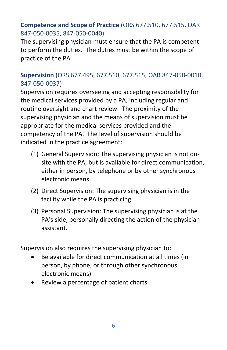#### **Competence and Scope of Practice** (ORS 677.510, 677.515, OAR 847-050-0035, 847-050-0040)

The supervising physician must ensure that the PA is competent to perform the duties. The duties must be within the scope of practice of the PA.

#### **Supervision** (ORS 677.495, 677.510, 677.515, OAR 847-050-0010, 847-050-0037)

Supervision requires overseeing and accepting responsibility for the medical services provided by a PA, including regular and routine oversight and chart review. The proximity of the supervising physician and the means of supervision must be appropriate for the medical services provided and the competency of the PA. The level of supervision should be indicated in the practice agreement:

- (1) General Supervision: The supervising physician is not onsite with the PA, but is available for direct communication, either in person, by telephone or by other synchronous electronic means.
- (2) Direct Supervision: The supervising physician is in the facility while the PA is practicing.
- (3) Personal Supervision: The supervising physician is at the PA's side, personally directing the action of the physician assistant.

Supervision also requires the supervising physician to:

- Be available for direct communication at all times (in person, by phone, or through other synchronous electronic means).
- Review a percentage of patient charts.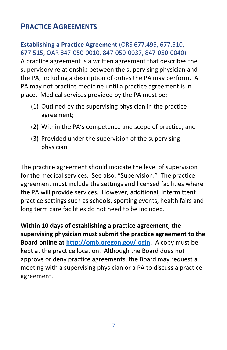# **PRACTICE AGREEMENTS**

#### **Establishing a Practice Agreement** (ORS 677.495, 677.510, 677.515, OAR 847-050-0010, 847-050-0037, 847-050-0040)

A practice agreement is a written agreement that describes the supervisory relationship between the supervising physician and the PA, including a description of duties the PA may perform. A PA may not practice medicine until a practice agreement is in place. Medical services provided by the PA must be:

- (1) Outlined by the supervising physician in the practice agreement;
- (2) Within the PA's competence and scope of practice; and
- (3) Provided under the supervision of the supervising physician.

The practice agreement should indicate the level of supervision for the medical services. See also, "Supervision." The practice agreement must include the settings and licensed facilities where the PA will provide services. However, additional, intermittent practice settings such as schools, sporting events, health fairs and long term care facilities do not need to be included.

**Within 10 days of establishing a practice agreement, the supervising physician must submit the practice agreement to the Board online at [http://omb.oregon.gov/login.](http://omb.oregon.gov/login)** A copy must be kept at the practice location. Although the Board does not approve or deny practice agreements, the Board may request a meeting with a supervising physician or a PA to discuss a practice agreement.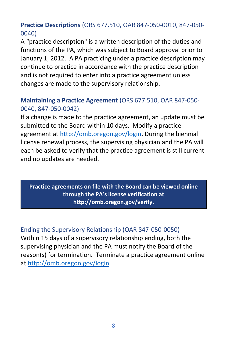#### **Practice Descriptions** (ORS 677.510, OAR 847-050-0010, 847-050- 0040)

A "practice description" is a written description of the duties and functions of the PA, which was subject to Board approval prior to January 1, 2012. A PA practicing under a practice description may continue to practice in accordance with the practice description and is not required to enter into a practice agreement unless changes are made to the supervisory relationship.

#### **Maintaining a Practice Agreement** (ORS 677.510, OAR 847-050- 0040, 847-050-0042)

If a change is made to the practice agreement, an update must be submitted to the Board within 10 days. Modify a practice agreement at [http://omb.oregon.gov/login.](http://omb.oregon.gov/login) During the biennial license renewal process, the supervising physician and the PA will each be asked to verify that the practice agreement is still current and no updates are needed.

#### **Practice agreements on file with the Board can be viewed online through the PA's license verification at <http://omb.oregon.gov/verify>**.

#### Ending the Supervisory Relationship (OAR 847-050-0050) Within 15 days of a supervisory relationship ending, both the supervising physician and the PA must notify the Board of the reason(s) for termination. Terminate a practice agreement online at [http://omb.oregon.gov/login.](http://omb.oregon.gov/login)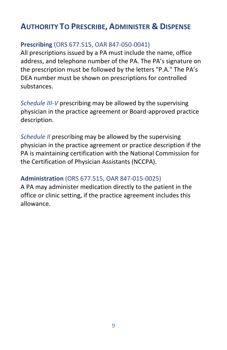# **AUTHORITY TO PRESCRIBE, ADMINISTER & DISPENSE**

#### **Prescribing** (ORS 677.515, OAR 847-050-0041)

All prescriptions issued by a PA must include the name, office address, and telephone number of the PA. The PA's signature on the prescription must be followed by the letters "P.A." The PA's DEA number must be shown on prescriptions for controlled substances.

*Schedule III-V* prescribing may be allowed by the supervising physician in the practice agreement or Board-approved practice description.

*Schedule II* prescribing may be allowed by the supervising physician in the practice agreement or practice description if the PA is maintaining certification with the National Commission for the Certification of Physician Assistants (NCCPA).

#### **Administration** (ORS 677.515, OAR 847-015-0025)

A PA may administer medication directly to the patient in the office or clinic setting, if the practice agreement includes this allowance.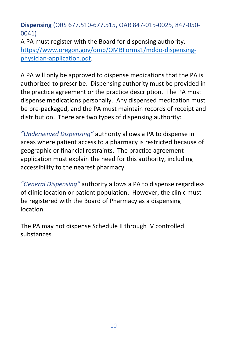**Dispensing** (ORS 677.510-677.515, OAR 847-015-0025, 847-050- 0041)

A PA must register with the Board for dispensing authority, [https://www.oregon.gov/omb/OMBForms1/mddo-dispensing](https://www.oregon.gov/omb/OMBForms1/mddo-dispensing-physician-application.pdf)[physician-application.pdf.](https://www.oregon.gov/omb/OMBForms1/mddo-dispensing-physician-application.pdf)

A PA will only be approved to dispense medications that the PA is authorized to prescribe. Dispensing authority must be provided in the practice agreement or the practice description. The PA must dispense medications personally. Any dispensed medication must be pre-packaged, and the PA must maintain records of receipt and distribution. There are two types of dispensing authority:

*"Underserved Dispensing"* authority allows a PA to dispense in areas where patient access to a pharmacy is restricted because of geographic or financial restraints. The practice agreement application must explain the need for this authority, including accessibility to the nearest pharmacy.

*"General Dispensing"* authority allows a PA to dispense regardless of clinic location or patient population. However, the clinic must be registered with the Board of Pharmacy as a dispensing location.

The PA may not dispense Schedule II through IV controlled substances.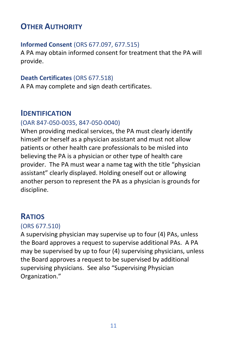# **OTHER AUTHORITY**

#### **Informed Consent** (ORS 677.097, 677.515)

A PA may obtain informed consent for treatment that the PA will provide.

#### **Death Certificates** (ORS 677.518)

A PA may complete and sign death certificates.

#### **IDENTIFICATION**

#### (OAR 847-050-0035, 847-050-0040)

When providing medical services, the PA must clearly identify himself or herself as a physician assistant and must not allow patients or other health care professionals to be misled into believing the PA is a physician or other type of health care provider. The PA must wear a name tag with the title "physician assistant" clearly displayed. Holding oneself out or allowing another person to represent the PA as a physician is grounds for discipline.

# **RATIOS**

#### (ORS 677.510)

A supervising physician may supervise up to four (4) PAs, unless the Board approves a request to supervise additional PAs. A PA may be supervised by up to four (4) supervising physicians, unless the Board approves a request to be supervised by additional supervising physicians. See also "Supervising Physician Organization."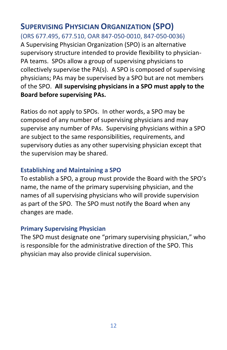#### **SUPERVISING PHYSICIAN ORGANIZATION (SPO)** (ORS 677.495, 677.510, OAR 847-050-0010, 847-050-0036)

A Supervising Physician Organization (SPO) is an alternative supervisory structure intended to provide flexibility to physician-PA teams. SPOs allow a group of supervising physicians to collectively supervise the PA(s). A SPO is composed of supervising physicians; PAs may be supervised by a SPO but are not members of the SPO. **All supervising physicians in a SPO must apply to the Board before supervising PAs.**

Ratios do not apply to SPOs. In other words, a SPO may be composed of any number of supervising physicians and may supervise any number of PAs. Supervising physicians within a SPO are subject to the same responsibilities, requirements, and supervisory duties as any other supervising physician except that the supervision may be shared.

#### **Establishing and Maintaining a SPO**

To establish a SPO, a group must provide the Board with the SPO's name, the name of the primary supervising physician, and the names of all supervising physicians who will provide supervision as part of the SPO. The SPO must notify the Board when any changes are made.

#### **Primary Supervising Physician**

The SPO must designate one "primary supervising physician," who is responsible for the administrative direction of the SPO. This physician may also provide clinical supervision.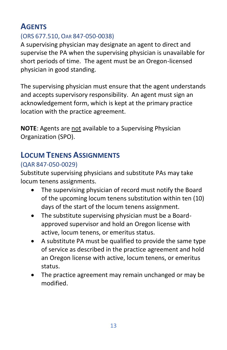# **AGENTS**

## (ORS 677.510, OAR 847-050-0038)

A supervising physician may designate an agent to direct and supervise the PA when the supervising physician is unavailable for short periods of time. The agent must be an Oregon-licensed physician in good standing.

The supervising physician must ensure that the agent understands and accepts supervisory responsibility. An agent must sign an acknowledgement form, which is kept at the primary practice location with the practice agreement.

**NOTE**: Agents are not available to a Supervising Physician Organization (SPO).

# **LOCUM TENENS ASSIGNMENTS**

## (QAR 847-050-0029)

Substitute supervising physicians and substitute PAs may take locum tenens assignments.

- The supervising physician of record must notify the Board of the upcoming locum tenens substitution within ten (10) days of the start of the locum tenens assignment.
- The substitute supervising physician must be a Boardapproved supervisor and hold an Oregon license with active, locum tenens, or emeritus status.
- A substitute PA must be qualified to provide the same type of service as described in the practice agreement and hold an Oregon license with active, locum tenens, or emeritus status.
- The practice agreement may remain unchanged or may be modified.